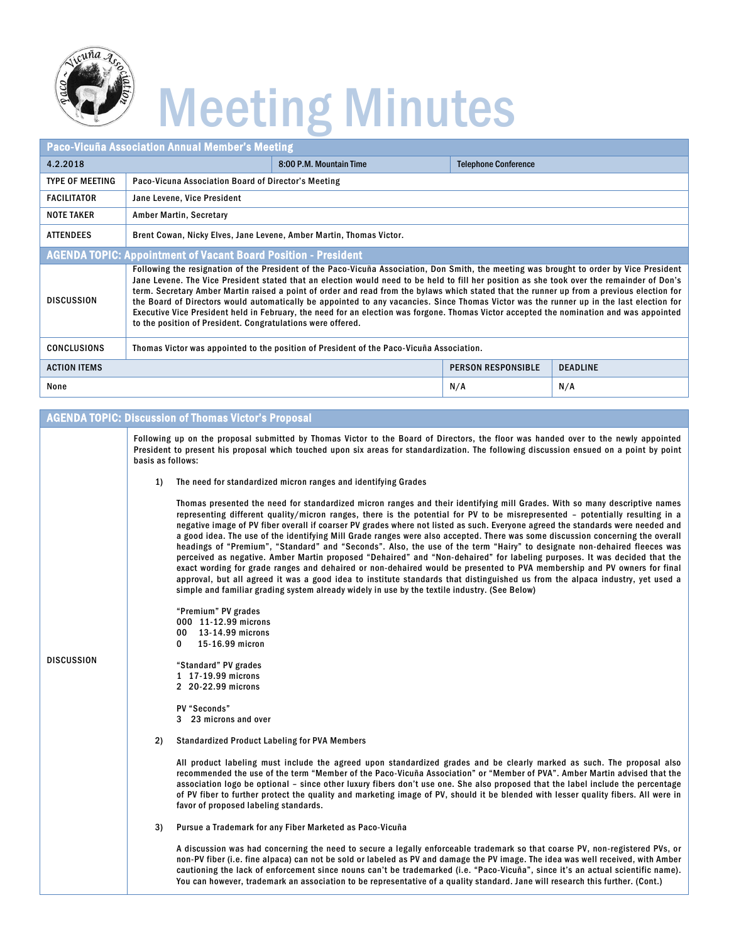

### Meeting Minutes

| <b>Paco-Vicuña Association Annual Member's Meeting</b>                |                                                                                                                                                                                                                                                                                                                                                                                                                                                                                                                                                                                                                                                                                                                                                                                             |                           |                             |  |  |  |
|-----------------------------------------------------------------------|---------------------------------------------------------------------------------------------------------------------------------------------------------------------------------------------------------------------------------------------------------------------------------------------------------------------------------------------------------------------------------------------------------------------------------------------------------------------------------------------------------------------------------------------------------------------------------------------------------------------------------------------------------------------------------------------------------------------------------------------------------------------------------------------|---------------------------|-----------------------------|--|--|--|
| 4.2.2018                                                              |                                                                                                                                                                                                                                                                                                                                                                                                                                                                                                                                                                                                                                                                                                                                                                                             | 8:00 P.M. Mountain Time   | <b>Telephone Conference</b> |  |  |  |
| <b>TYPE OF MEETING</b>                                                | Paco-Vicuna Association Board of Director's Meeting                                                                                                                                                                                                                                                                                                                                                                                                                                                                                                                                                                                                                                                                                                                                         |                           |                             |  |  |  |
| <b>FACILITATOR</b>                                                    | Jane Levene, Vice President                                                                                                                                                                                                                                                                                                                                                                                                                                                                                                                                                                                                                                                                                                                                                                 |                           |                             |  |  |  |
| <b>NOTE TAKER</b>                                                     | <b>Amber Martin, Secretary</b>                                                                                                                                                                                                                                                                                                                                                                                                                                                                                                                                                                                                                                                                                                                                                              |                           |                             |  |  |  |
| <b>ATTENDEES</b>                                                      | Brent Cowan, Nicky Elves, Jane Levene, Amber Martin, Thomas Victor.                                                                                                                                                                                                                                                                                                                                                                                                                                                                                                                                                                                                                                                                                                                         |                           |                             |  |  |  |
| <b>AGENDA TOPIC: Appointment of Vacant Board Position - President</b> |                                                                                                                                                                                                                                                                                                                                                                                                                                                                                                                                                                                                                                                                                                                                                                                             |                           |                             |  |  |  |
| <b>DISCUSSION</b>                                                     | Following the resignation of the President of the Paco-Vicuña Association, Don Smith, the meeting was brought to order by Vice President<br>Jane Levene. The Vice President stated that an election would need to be held to fill her position as she took over the remainder of Don's<br>term. Secretary Amber Martin raised a point of order and read from the bylaws which stated that the runner up from a previous election for<br>the Board of Directors would automatically be appointed to any vacancies. Since Thomas Victor was the runner up in the last election for<br>Executive Vice President held in February, the need for an election was forgone. Thomas Victor accepted the nomination and was appointed<br>to the position of President. Congratulations were offered. |                           |                             |  |  |  |
| <b>CONCLUSIONS</b>                                                    | Thomas Victor was appointed to the position of President of the Paco-Vicuña Association.                                                                                                                                                                                                                                                                                                                                                                                                                                                                                                                                                                                                                                                                                                    |                           |                             |  |  |  |
| <b>ACTION ITEMS</b>                                                   |                                                                                                                                                                                                                                                                                                                                                                                                                                                                                                                                                                                                                                                                                                                                                                                             | <b>PERSON RESPONSIBLE</b> | <b>DEADLINE</b>             |  |  |  |
| None                                                                  |                                                                                                                                                                                                                                                                                                                                                                                                                                                                                                                                                                                                                                                                                                                                                                                             | N/A                       | N/A                         |  |  |  |

### AGENDA TOPIC: Discussion of Thomas Victor's Proposal

Following up on the proposal submitted by Thomas Victor to the Board of Directors, the floor was handed over to the newly appointed President to present his proposal which touched upon six areas for standardization. The following discussion ensued on a point by point basis as follows:

1) The need for standardized micron ranges and identifying Grades

Thomas presented the need for standardized micron ranges and their identifying mill Grades. With so many descriptive names representing different quality/micron ranges, there is the potential for PV to be misrepresented – potentially resulting in a negative image of PV fiber overall if coarser PV grades where not listed as such. Everyone agreed the standards were needed and a good idea. The use of the identifying Mill Grade ranges were also accepted. There was some discussion concerning the overall headings of "Premium", "Standard" and "Seconds". Also, the use of the term "Hairy" to designate non-dehaired fleeces was perceived as negative. Amber Martin proposed "Dehaired" and "Non-dehaired" for labeling purposes. It was decided that the exact wording for grade ranges and dehaired or non-dehaired would be presented to PVA membership and PV owners for final approval, but all agreed it was a good idea to institute standards that distinguished us from the alpaca industry, yet used a simple and familiar grading system already widely in use by the textile industry. (See Below)

"Premium" PV grades 000 11-12.99 microns 00 13-14.99 microns 0 15-16.99 micron

DISCUSSION

"Standard" PV grades 1 17-19.99 microns 2 20-22.99 microns

PV "Seconds"

3 23 microns and over

2) Standardized Product Labeling for PVA Members

All product labeling must include the agreed upon standardized grades and be clearly marked as such. The proposal also recommended the use of the term "Member of the Paco-Vicuña Association" or "Member of PVA". Amber Martin advised that the association logo be optional – since other luxury fibers don't use one. She also proposed that the label include the percentage of PV fiber to further protect the quality and marketing image of PV, should it be blended with lesser quality fibers. All were in favor of proposed labeling standards.

3) Pursue a Trademark for any Fiber Marketed as Paco-Vicuña

A discussion was had concerning the need to secure a legally enforceable trademark so that coarse PV, non-registered PVs, or non-PV fiber (i.e. fine alpaca) can not be sold or labeled as PV and damage the PV image. The idea was well received, with Amber cautioning the lack of enforcement since nouns can't be trademarked (i.e. "Paco-Vicuña", since it's an actual scientific name). You can however, trademark an association to be representative of a quality standard. Jane will research this further. (Cont.)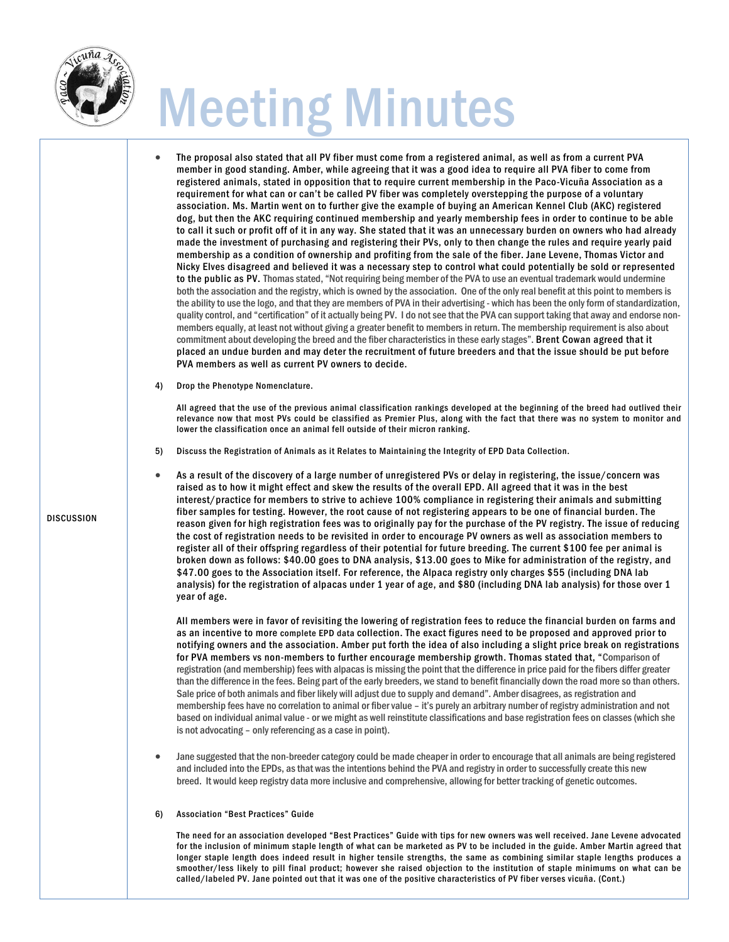

DISCUSSION

# Meeting Minutes

- The proposal also stated that all PV fiber must come from a registered animal, as well as from a current PVA member in good standing. Amber, while agreeing that it was a good idea to require all PVA fiber to come from registered animals, stated in opposition that to require current membership in the Paco-Vicuña Association as a requirement for what can or can't be called PV fiber was completely overstepping the purpose of a voluntary association. Ms. Martin went on to further give the example of buying an American Kennel Club (AKC) registered dog, but then the AKC requiring continued membership and yearly membership fees in order to continue to be able to call it such or profit off of it in any way. She stated that it was an unnecessary burden on owners who had already made the investment of purchasing and registering their PVs, only to then change the rules and require yearly paid membership as a condition of ownership and profiting from the sale of the fiber. Jane Levene, Thomas Victor and Nicky Elves disagreed and believed it was a necessary step to control what could potentially be sold or represented to the public as PV. Thomas stated, "Not requiring being member of the PVA to use an eventual trademark would undermine both the association and the registry, which is owned by the association. One of the only real benefit at this point to members is the ability to use the logo, and that they are members of PVA in their advertising - which has been the only form of standardization, quality control, and "certification" of it actually being PV. I do not see that the PVA can support taking that away and endorse nonmembers equally, at least not without giving a greater benefit to members in return. The membership requirement is also about commitment about developing the breed and the fiber characteristics in these early stages". Brent Cowan agreed that it placed an undue burden and may deter the recruitment of future breeders and that the issue should be put before PVA members as well as current PV owners to decide.
- 4) Drop the Phenotype Nomenclature.

All agreed that the use of the previous animal classification rankings developed at the beginning of the breed had outlived their relevance now that most PVs could be classified as Premier Plus, along with the fact that there was no system to monitor and lower the classification once an animal fell outside of their micron ranking.

5) Discuss the Registration of Animals as it Relates to Maintaining the Integrity of EPD Data Collection.

• As a result of the discovery of a large number of unregistered PVs or delay in registering, the issue/concern was raised as to how it might effect and skew the results of the overall EPD. All agreed that it was in the best interest/practice for members to strive to achieve 100% compliance in registering their animals and submitting fiber samples for testing. However, the root cause of not registering appears to be one of financial burden. The reason given for high registration fees was to originally pay for the purchase of the PV registry. The issue of reducing the cost of registration needs to be revisited in order to encourage PV owners as well as association members to register all of their offspring regardless of their potential for future breeding. The current \$100 fee per animal is broken down as follows: \$40.00 goes to DNA analysis, \$13.00 goes to Mike for administration of the registry, and \$47.00 goes to the Association itself. For reference, the Alpaca registry only charges \$55 (including DNA lab analysis) for the registration of alpacas under 1 year of age, and \$80 (including DNA lab analysis) for those over 1 year of age.

All members were in favor of revisiting the lowering of registration fees to reduce the financial burden on farms and as an incentive to more complete EPD data collection. The exact figures need to be proposed and approved prior to notifying owners and the association. Amber put forth the idea of also including a slight price break on registrations for PVA members vs non-members to further encourage membership growth. Thomas stated that, "Comparison of registration (and membership) fees with alpacas is missing the point that the difference in price paid for the fibers differ greater than the difference in the fees. Being part of the early breeders, we stand to benefit financially down the road more so than others. Sale price of both animals and fiber likely will adjust due to supply and demand". Amber disagrees, as registration and membership fees have no correlation to animal or fiber value – it's purely an arbitrary number of registry administration and not based on individual animal value - or we might as well reinstitute classifications and base registration fees on classes (which she is not advocating – only referencing as a case in point).

- Jane suggested that the non-breeder category could be made cheaper in order to encourage that all animals are being registered and included into the EPDs, as that was the intentions behind the PVA and registry in order to successfully create this new breed. It would keep registry data more inclusive and comprehensive, allowing for better tracking of genetic outcomes.
- 6) Association "Best Practices" Guide

The need for an association developed "Best Practices" Guide with tips for new owners was well received. Jane Levene advocated for the inclusion of minimum staple length of what can be marketed as PV to be included in the guide. Amber Martin agreed that longer staple length does indeed result in higher tensile strengths, the same as combining similar staple lengths produces a smoother/less likely to pill final product; however she raised objection to the institution of staple minimums on what can be called/labeled PV. Jane pointed out that it was one of the positive characteristics of PV fiber verses vicuña. (Cont.)